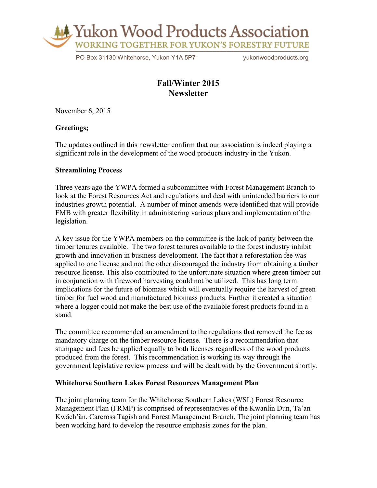

PO Box 31130 Whitehorse, Yukon Y1A 5P7 vukonwoodproducts.org

# **Fall/Winter 2015 Newsletter**

November 6, 2015

## **Greetings;**

The updates outlined in this newsletter confirm that our association is indeed playing a significant role in the development of the wood products industry in the Yukon.

## **Streamlining Process**

Three years ago the YWPA formed a subcommittee with Forest Management Branch to look at the Forest Resources Act and regulations and deal with unintended barriers to our industries growth potential. A number of minor amends were identified that will provide FMB with greater flexibility in administering various plans and implementation of the legislation.

A key issue for the YWPA members on the committee is the lack of parity between the timber tenures available. The two forest tenures available to the forest industry inhibit growth and innovation in business development. The fact that a reforestation fee was applied to one license and not the other discouraged the industry from obtaining a timber resource license. This also contributed to the unfortunate situation where green timber cut in conjunction with firewood harvesting could not be utilized. This has long term implications for the future of biomass which will eventually require the harvest of green timber for fuel wood and manufactured biomass products. Further it created a situation where a logger could not make the best use of the available forest products found in a stand.

The committee recommended an amendment to the regulations that removed the fee as mandatory charge on the timber resource license. There is a recommendation that stumpage and fees be applied equally to both licenses regardless of the wood products produced from the forest. This recommendation is working its way through the government legislative review process and will be dealt with by the Government shortly.

# **Whitehorse Southern Lakes Forest Resources Management Plan**

The joint planning team for the Whitehorse Southern Lakes (WSL) Forest Resource Management Plan (FRMP) is comprised of representatives of the Kwanlin Dun, Ta'an Kwäch'än, Carcross Tagish and Forest Management Branch. The joint planning team has been working hard to develop the resource emphasis zones for the plan.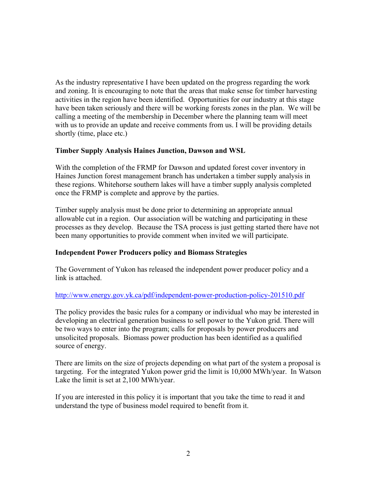As the industry representative I have been updated on the progress regarding the work and zoning. It is encouraging to note that the areas that make sense for timber harvesting activities in the region have been identified. Opportunities for our industry at this stage have been taken seriously and there will be working forests zones in the plan. We will be calling a meeting of the membership in December where the planning team will meet with us to provide an update and receive comments from us. I will be providing details shortly (time, place etc.)

# **Timber Supply Analysis Haines Junction, Dawson and WSL**

With the completion of the FRMP for Dawson and updated forest cover inventory in Haines Junction forest management branch has undertaken a timber supply analysis in these regions. Whitehorse southern lakes will have a timber supply analysis completed once the FRMP is complete and approve by the parties.

Timber supply analysis must be done prior to determining an appropriate annual allowable cut in a region. Our association will be watching and participating in these processes as they develop. Because the TSA process is just getting started there have not been many opportunities to provide comment when invited we will participate.

# **Independent Power Producers policy and Biomass Strategies**

The Government of Yukon has released the independent power producer policy and a link is attached.

#### http://www.energy.gov.yk.ca/pdf/independent-power-production-policy-201510.pdf

The policy provides the basic rules for a company or individual who may be interested in developing an electrical generation business to sell power to the Yukon grid. There will be two ways to enter into the program; calls for proposals by power producers and unsolicited proposals. Biomass power production has been identified as a qualified source of energy.

There are limits on the size of projects depending on what part of the system a proposal is targeting. For the integrated Yukon power grid the limit is 10,000 MWh/year. In Watson Lake the limit is set at 2,100 MWh/year.

If you are interested in this policy it is important that you take the time to read it and understand the type of business model required to benefit from it.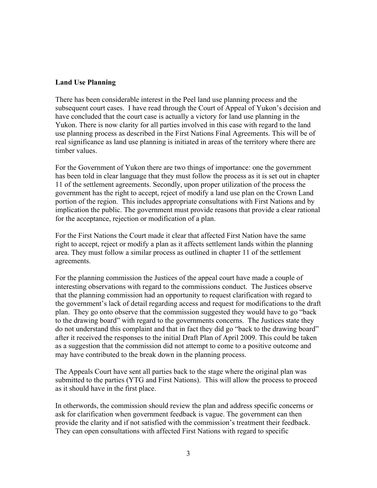## **Land Use Planning**

There has been considerable interest in the Peel land use planning process and the subsequent court cases. I have read through the Court of Appeal of Yukon's decision and have concluded that the court case is actually a victory for land use planning in the Yukon. There is now clarity for all parties involved in this case with regard to the land use planning process as described in the First Nations Final Agreements. This will be of real significance as land use planning is initiated in areas of the territory where there are timber values.

For the Government of Yukon there are two things of importance: one the government has been told in clear language that they must follow the process as it is set out in chapter 11 of the settlement agreements. Secondly, upon proper utilization of the process the government has the right to accept, reject of modify a land use plan on the Crown Land portion of the region. This includes appropriate consultations with First Nations and by implication the public. The government must provide reasons that provide a clear rational for the acceptance, rejection or modification of a plan.

For the First Nations the Court made it clear that affected First Nation have the same right to accept, reject or modify a plan as it affects settlement lands within the planning area. They must follow a similar process as outlined in chapter 11 of the settlement agreements.

For the planning commission the Justices of the appeal court have made a couple of interesting observations with regard to the commissions conduct. The Justices observe that the planning commission had an opportunity to request clarification with regard to the government's lack of detail regarding access and request for modifications to the draft plan. They go onto observe that the commission suggested they would have to go "back to the drawing board" with regard to the governments concerns. The Justices state they do not understand this complaint and that in fact they did go "back to the drawing board" after it received the responses to the initial Draft Plan of April 2009. This could be taken as a suggestion that the commission did not attempt to come to a positive outcome and may have contributed to the break down in the planning process.

The Appeals Court have sent all parties back to the stage where the original plan was submitted to the parties (YTG and First Nations). This will allow the process to proceed as it should have in the first place.

In otherwords, the commission should review the plan and address specific concerns or ask for clarification when government feedback is vague. The government can then provide the clarity and if not satisfied with the commission's treatment their feedback. They can open consultations with affected First Nations with regard to specific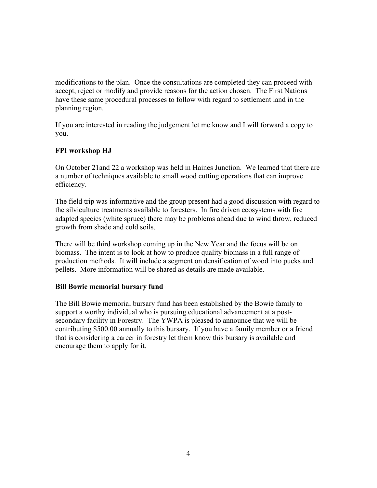modifications to the plan. Once the consultations are completed they can proceed with accept, reject or modify and provide reasons for the action chosen. The First Nations have these same procedural processes to follow with regard to settlement land in the planning region.

If you are interested in reading the judgement let me know and I will forward a copy to you.

# **FPI workshop HJ**

On October 21and 22 a workshop was held in Haines Junction. We learned that there are a number of techniques available to small wood cutting operations that can improve efficiency.

The field trip was informative and the group present had a good discussion with regard to the silviculture treatments available to foresters. In fire driven ecosystems with fire adapted species (white spruce) there may be problems ahead due to wind throw, reduced growth from shade and cold soils.

There will be third workshop coming up in the New Year and the focus will be on biomass. The intent is to look at how to produce quality biomass in a full range of production methods. It will include a segment on densification of wood into pucks and pellets. More information will be shared as details are made available.

#### **Bill Bowie memorial bursary fund**

The Bill Bowie memorial bursary fund has been established by the Bowie family to support a worthy individual who is pursuing educational advancement at a postsecondary facility in Forestry. The YWPA is pleased to announce that we will be contributing \$500.00 annually to this bursary. If you have a family member or a friend that is considering a career in forestry let them know this bursary is available and encourage them to apply for it.